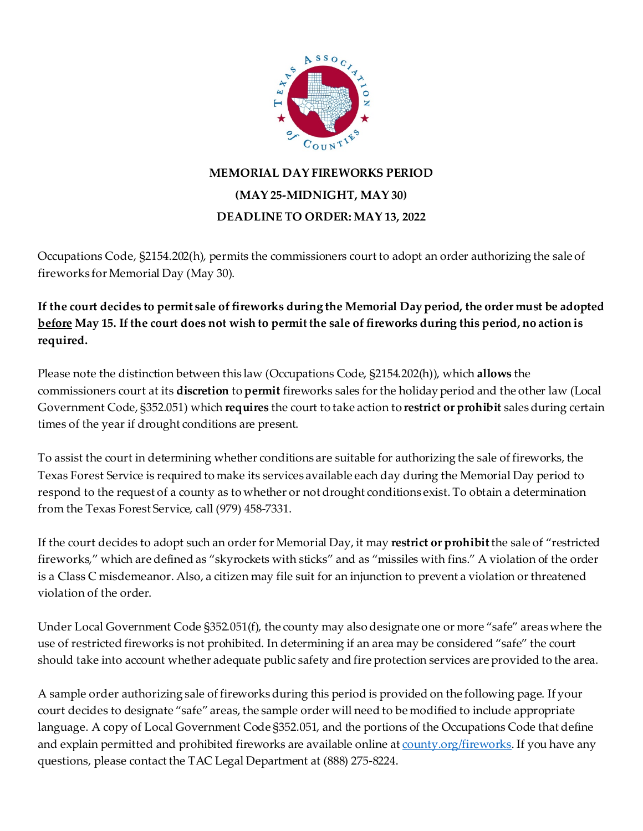

## **MEMORIAL DAY FIREWORKS PERIOD (MAY 25-MIDNIGHT, MAY 30) DEADLINE TO ORDER: MAY 13, 2022**

Occupations Code, §2154.202(h), permits the commissioners court to adopt an order authorizing the sale of fireworks for Memorial Day (May 30).

**If the court decides to permit sale of fireworks during the Memorial Day period, the order must be adopted before May 15. If the court does not wish to permit the sale of fireworks during this period, no action is required.**

Please note the distinction between this law (Occupations Code, §2154.202(h)), which **allows** the commissioners court at its **discretion** to **permit** fireworks sales for the holiday period and the other law (Local Government Code, §352.051) which **requires** the court to take action to **restrict or prohibit** sales during certain times of the year if drought conditions are present.

To assist the court in determining whether conditions are suitable for authorizing the sale of fireworks, the Texas Forest Service is required to make its services available each day during the Memorial Day period to respond to the request of a county as to whether or not drought conditions exist. To obtain a determination from the Texas Forest Service, call (979) 458-7331.

If the court decides to adopt such an orderfor Memorial Day, it may **restrict or prohibit** the sale of "restricted fireworks," which are defined as "skyrockets with sticks" and as "missiles with fins." A violation of the order is a Class C misdemeanor. Also, a citizen may file suit for an injunction to prevent a violation or threatened violation of the order.

Under Local Government Code §352.051(f), the county may also designate one or more "safe" areas where the use of restricted fireworks is not prohibited. In determining if an area may be considered "safe" the court should take into account whether adequate public safety and fire protection services are provided to the area.

A sample order authorizing sale of fireworks during this period is provided on the following page. If your court decides to designate "safe" areas, the sample order will need to be modified to include appropriate language. A copy of Local Government Code §352.051, and the portions of the Occupations Code that define and explain permitted and prohibited fireworks are available online at [county.org/fireworks](http://www.county.org/FIREWORKS). If you have any questions, please contact the TAC Legal Department at (888) 275-8224.